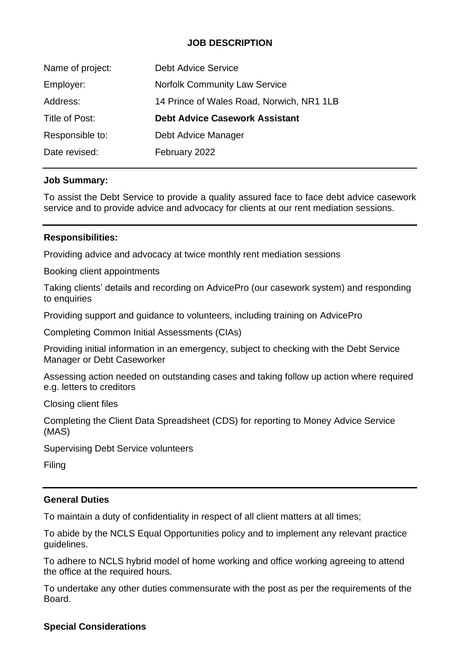# **JOB DESCRIPTION**

| Name of project: | <b>Debt Advice Service</b>                |
|------------------|-------------------------------------------|
| Employer:        | <b>Norfolk Community Law Service</b>      |
| Address:         | 14 Prince of Wales Road, Norwich, NR1 1LB |
|                  |                                           |
| Title of Post:   | <b>Debt Advice Casework Assistant</b>     |
| Responsible to:  | Debt Advice Manager                       |

### **Job Summary:**

To assist the Debt Service to provide a quality assured face to face debt advice casework service and to provide advice and advocacy for clients at our rent mediation sessions.

## **Responsibilities:**

Providing advice and advocacy at twice monthly rent mediation sessions

Booking client appointments

Taking clients' details and recording on AdvicePro (our casework system) and responding to enquiries

Providing support and guidance to volunteers, including training on AdvicePro

Completing Common Initial Assessments (CIAs)

Providing initial information in an emergency, subject to checking with the Debt Service Manager or Debt Caseworker

Assessing action needed on outstanding cases and taking follow up action where required e.g. letters to creditors

Closing client files

Completing the Client Data Spreadsheet (CDS) for reporting to Money Advice Service (MAS)

Supervising Debt Service volunteers

Filing

### **General Duties**

To maintain a duty of confidentiality in respect of all client matters at all times;

To abide by the NCLS Equal Opportunities policy and to implement any relevant practice guidelines.

To adhere to NCLS hybrid model of home working and office working agreeing to attend the office at the required hours.

To undertake any other duties commensurate with the post as per the requirements of the Board.

### **Special Considerations**